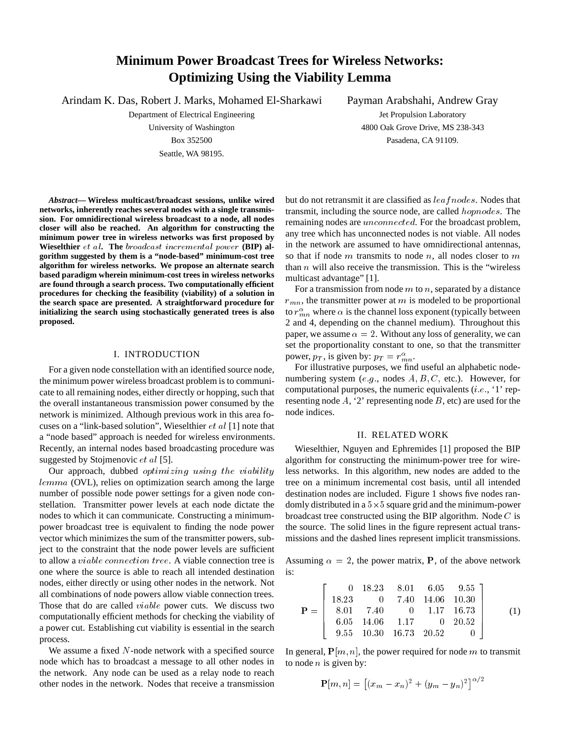# **Minimum Power Broadcast Trees for Wireless Networks: Optimizing Using the Viability Lemma**

Arindam K. Das, Robert J. Marks, Mohamed El-Sharkawi

Department of Electrical Engineering

University of Washington Box 352500 Seattle, WA 98195.

Payman Arabshahi, Andrew Gray Jet Propulsion Laboratory 4800 Oak Grove Drive, MS 238-343 Pasadena, CA 91109.

*Abstract***— Wireless multicast/broadcast sessions, unlike wired networks, inherently reaches several nodes with a single transmission. For omnidirectional wireless broadcast to a node, all nodes closer will also be reached. An algorithm for constructing the minimum power tree in wireless networks was first proposed by Wieselthier** et al**. The** broadcast incremental power **(BIP) algorithm suggested by them is a "node-based" minimum-cost tree algorithm for wireless networks. We propose an alternate search based paradigm wherein minimum-cost trees in wireless networks are found through a search process. Two computationally efficient procedures for checking the feasibility (viability) of a solution in the search space are presented. A straightforward procedure for initializing the search using stochastically generated trees is also proposed.**

# I. INTRODUCTION

For a given node constellation with an identified source node, the minimum power wireless broadcast problem is to communicate to all remaining nodes, either directly or hopping, such that the overall instantaneous transmission power consumed by the network is minimized. Although previous work in this area focuses on a "link-based solution", Wieselthier et al [1] note that a "node based" approach is needed for wireless environments. Recently, an internal nodes based broadcasting procedure was suggested by Stojmenovic *et al* [5].

Our approach, dubbed optimizing using the viability lemma (OVL), relies on optimization search among the large number of possible node power settings for a given node constellation. Transmitter power levels at each node dictate the nodes to which it can communicate. Constructing a minimumpower broadcast tree is equivalent to finding the node power vector which minimizes the sum of the transmitter powers, subject to the constraint that the node power levels are sufficient to allow a viable connection tree. A viable connection tree is one where the source is able to reach all intended destination nodes, either directly or using other nodes in the network. Not all combinations of node powers allow viable connection trees. Those that do are called viable power cuts. We discuss two computationally efficient methods for checking the viability of a power cut. Establishing cut viability is essential in the search process.

We assume a fixed N-node network with a specified source node which has to broadcast a message to all other nodes in the network. Any node can be used as a relay node to reach other nodes in the network. Nodes that receive a transmission

but do not retransmit it are classified as  $leafnodes$ . Nodes that transmit, including the source node, are called hopnodes. The remaining nodes are unconnected. For the broadcast problem, any tree which has unconnected nodes is not viable. All nodes in the network are assumed to have omnidirectional antennas, so that if node  $m$  transmits to node  $n$ , all nodes closer to  $m$ than  $n$  will also receive the transmission. This is the "wireless" multicast advantage" [1].

For a transmission from node  $m$  to  $n$ , separated by a distance  $r_{mn}$ , the transmitter power at m is modeled to be proportional to  $r_{mn}^{\alpha}$  where  $\alpha$  is the channel loss exponent (typically between 2 and 4, depending on the channel medium). Throughout this paper, we assume  $\alpha = 2$ . Without any loss of generality, we can set the proportionality constant to one, so that the transmitter power,  $p_T$ , is given by:  $p_T = r_{mn}^{\alpha}$ .

For illustrative purposes, we find useful an alphabetic nodenumbering system (e.g., nodes  $A, B, C$ , etc.). However, for computational purposes, the numeric equivalents  $(i.e., '1'$  representing node  $A$ , '2' representing node  $B$ , etc) are used for the node indices.

## II. RELATED WORK

Wieselthier, Nguyen and Ephremides [1] proposed the BIP algorithm for constructing the minimum-power tree for wireless networks. In this algorithm, new nodes are added to the tree on a minimum incremental cost basis, until all intended destination nodes are included. Figure 1 shows five nodes randomly distributed in a  $5 \times 5$  square grid and the minimum-power broadcast tree constructed using the BIP algorithm. Node  $C$  is the source. The solid lines in the figure represent actual transmissions and the dashed lines represent implicit transmissions.

Assuming  $\alpha = 2$ , the power matrix, P, of the above network is:

 $\sim$  200  $\sim$  200  $\sim$  200  $\sim$  200  $\sim$  200  $\sim$  200  $\sim$  200  $\sim$  200  $\sim$  200  $\sim$  200  $\sim$ 

$$
\mathbf{P} = \left[\begin{array}{ccccc} 0 & 18.23 & 8.01 & 6.05 & 9.55 \\ 18.23 & 0 & 7.40 & 14.06 & 10.30 \\ 8.01 & 7.40 & 0 & 1.17 & 16.73 \\ 6.05 & 14.06 & 1.17 & 0 & 20.52 \\ 9.55 & 10.30 & 16.73 & 20.52 & 0 \end{array}\right] \tag{1}
$$

<sup>3</sup>

In general,  $P[m, n]$ , the power required for node m to transmit to node  $n$  is given by:

$$
\mathbf{P}[m,n] = [(x_m - x_n)^2 + (y_m - y_n)^2]^{\alpha/2}
$$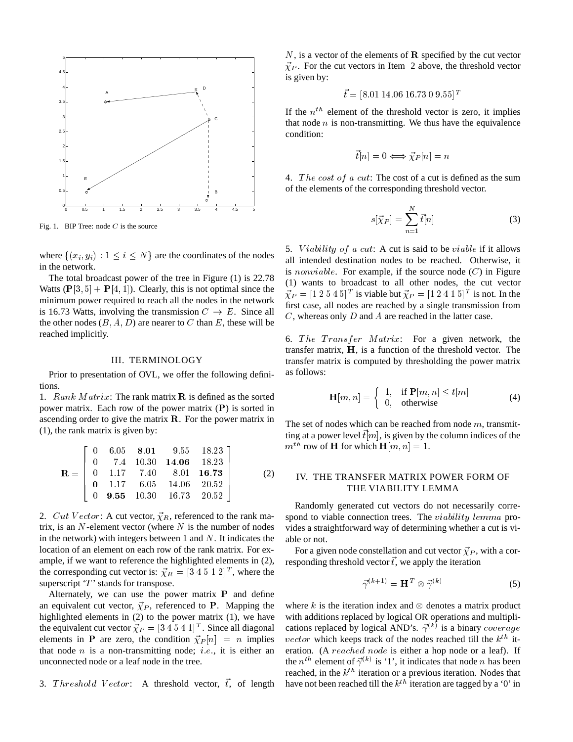

Fig. 1. BIP Tree: node  $C$  is the source

where  $\{(x_i, y_i): 1 \le i \le N\}$  are the coordinates of the nodes in the network.

The total broadcast power of the tree in Figure (1) is 22.78 Watts  $(\mathbf{P}[3, 5] + \mathbf{P}[4, 1])$ . Clearly, this is not optimal since the minimum power required to reach all the nodes in the network is 16.73 Watts, involving the transmission  $C \rightarrow E$ . Since all the other nodes  $(B, A, D)$  are nearer to C than E, these will be reached implicitly.

#### III. TERMINOLOGY

Prior to presentation of OVL, we offer the following definitions.

1. Rank Matrix: The rank matrix  $\bf{R}$  is defined as the sorted power matrix. Each row of the power matrix (P) is sorted in ascending order to give the matrix  $\bf{R}$ . For the power matrix in (1), the rank matrix is given by:

$$
\mathbf{R} = \left[ \begin{array}{cccccc} 0 & 6.05 & 8.01 & 9.55 & 18.23 \\ 0 & 7.4 & 10.30 & 14.06 & 18.23 \\ 0 & 1.17 & 7.40 & 8.01 & 16.73 \\ 0 & 1.17 & 6.05 & 14.06 & 20.52 \\ 0 & 9.55 & 10.30 & 16.73 & 20.52 \end{array} \right]
$$
(2)

2. Cut Vector: A cut vector,  $\vec{\chi}_R$ , referenced to the rank matrix, is an  $N$ -element vector (where  $N$  is the number of nodes in the network) with integers between 1 and  $N$ . It indicates the location of an element on each row of the rank matrix. For example, if we want to reference the highlighted elements in (2), the corresponding cut vector is:  $\vec{\chi}_R = [3 \ 4 \ 5 \ 1 \ 2]^T$ , where the superscript  $T$  stands for transpose.

Alternately, we can use the power matrix  $P$  and define an equivalent cut vector,  $\vec{\chi}_P$ , referenced to P. Mapping the highlighted elements in (2) to the power matrix (1), we have the equivalent cut vector  $\vec{\chi}_P = [3 \ 4 \ 5 \ 4 \ 1]^T$ . Since all diagonal elements in **P** are zero, the condition  $\vec{\chi}_P[n] = n$  implies that node  $n$  is a non-transmitting node; *i.e.*, it is either an unconnected node or a leaf node in the tree.

3. Threshold Vector: A threshold vector,  $\vec{t}$ , of length

 $N$ , is a vector of the elements of  $\bf R$  specified by the cut vector  $\vec{\chi}_P$ . For the cut vectors in Item 2 above, the threshold vector is given by:

$$
\vec{t} = [8.01\ 14.06\ 16.73\ 0\ 9.55]^{T}
$$

If the  $n<sup>th</sup>$  element of the threshold vector is zero, it implies that node  $n$  is non-transmitting. We thus have the equivalence condition:

$$
\vec{t}[n] = 0 \Longleftrightarrow \vec{\chi}_P[n] = n
$$

4. The cost of a cut: The cost of a cut is defined as the sum of the elements of the corresponding threshold vector.

$$
s[\vec{\chi}_P] = \sum_{n=1}^{N} \vec{t}[n] \tag{3}
$$

5. *Viability of a cut*: A cut is said to be *viable* if it allows all intended destination nodes to be reached. Otherwise, it is *nonviable*. For example, if the source node  $(C)$  in Figure (1) wants to broadcast to all other nodes, the cut vector  $\vec{\chi}_P = [1 \ 2 \ 5 \ 4 \ 5]^T$  is viable but  $\vec{\chi}_P = [1 \ 2 \ 4 \ 1 \ 5]^T$  is not. In the first case, all nodes are reached by a single transmission from  $C$ , whereas only  $D$  and  $A$  are reached in the latter case.

6. The Transfer Matrix: For a given network, the transfer matrix, <sup>H</sup>, is a function of the threshold vector. The transfer matrix is computed by thresholding the power matrix as follows:

$$
\mathbf{H}[m,n] = \begin{cases} 1, & \text{if } \mathbf{P}[m,n] \le t[m] \\ 0, & \text{otherwise} \end{cases} \tag{4}
$$

The set of nodes which can be reached from node  $m$ , transmitting at a power level  $\vec{t}[m]$ , is given by the column indices of the  $m^{th}$  row of **H** for which **H**[m, n] = 1.

# IV. THE TRANSFER MATRIX POWER FORM OF THE VIABILITY LEMMA

Randomly generated cut vectors do not necessarily correspond to viable connection trees. The *viability lemma* provides a straightforward way of determining whether a cut is viable or not.

For a given node constellation and cut vector  $\vec{\chi}_P$ , with a corresponding threshold vector  $\vec{t}$ , we apply the iteration

$$
\vec{\gamma}^{(k+1)} = \mathbf{H}^T \otimes \vec{\gamma}^{(k)} \tag{5}
$$

where k is the iteration index and  $\otimes$  denotes a matrix product with additions replaced by logical OR operations and multiplications replaced by logical AND's.  $\vec{\gamma}^{(k)}$  is a binary *coverage* vector which keeps track of the nodes reached till the  $k^{th}$  iteration. (A reached node is either a hop node or a leaf). If the  $n^{th}$  element of  $\vec{\gamma}^{(k)}$  is '1', it indicates that node n has been reached, in the  $k^{th}$  iteration or a previous iteration. Nodes that have not been reached till the  $k^{th}$  iteration are tagged by a '0' in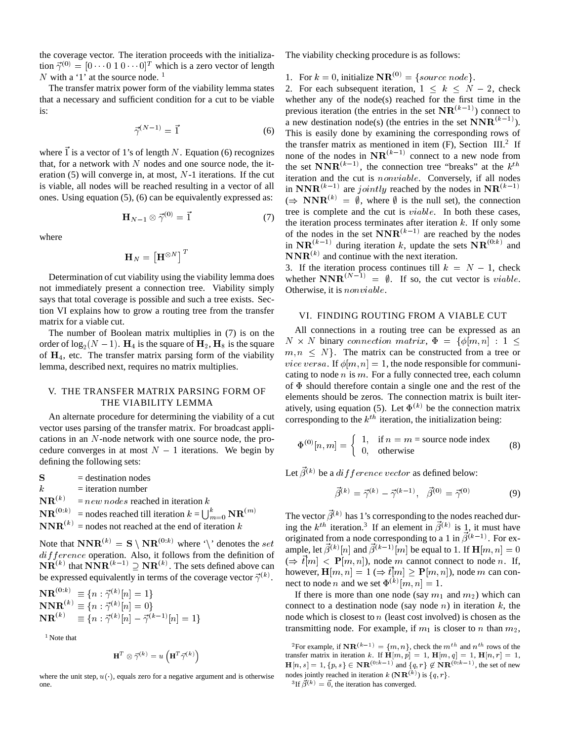the coverage vector. The iteration proceeds with the initialization  $\vec{\gamma}^{(0)} = [0 \cdots 0 \ 1 \ 0 \cdots 0]^T$  which is a zero vector of length N with a '1' at the source node.  $<sup>1</sup>$ </sup>

The transfer matrix power form of the viability lemma states that a necessary and sufficient condition for a cut to be viable is:

$$
\vec{\gamma}^{(N-1)} = \vec{1} \tag{6}
$$

where  $\vec{l}$  is a vector of 1's of length N. Equation (6) recognizes that, for a network with  $N$  nodes and one source node, the iteration (5) will converge in, at most, <sup>N</sup>-1 iterations. If the cut is viable, all nodes will be reached resulting in a vector of all ones. Using equation (5), (6) can be equivalently expressed as:

$$
\mathbf{H}_{N-1} \otimes \vec{\gamma}^{(0)} = \vec{1} \tag{7}
$$

where

$$
\mathbf{H}_{N}=\left[\mathbf{H}^{\otimes N}\right]^{T}
$$

Determination of cut viability using the viability lemma does not immediately present a connection tree. Viability simply says that total coverage is possible and such a tree exists. Section VI explains how to grow a routing tree from the transfer matrix for a viable cut.

The number of Boolean matrix multiplies in (7) is on the order of  $log_2(N-1)$ .  $H_4$  is the square of  $H_2$ ,  $H_8$  is the square of  $H_4$ , etc. The transfer matrix parsing form of the viability lemma, described next, requires no matrix multiplies.

# V. THE TRANSFER MATRIX PARSING FORM OF THE VIABILITY LEMMA

An alternate procedure for determining the viability of a cut vector uses parsing of the transfer matrix. For broadcast applications in an <sup>N</sup>-node network with one source node, the procedure converges in at most  $N - 1$  iterations. We begin by defining the following sets:

 $S =$  destination nodes

 $k =$ iteration number

 ${\bf NR}^{(k)}$  .  $= new nodes$  reached in iteration  $k$ 

 $\mathbf{NR}^{(0:k)}$  = nodes reached till iteration  $k = \bigcup_{m=0}^{k} \mathbf{NR}^{(m)}$  $\mathbf{NNR}^{(k)}$  = nodes not reached at the end of iteration k

Note that  $\mathbf{NNR}^{(k)} = \mathbf{S} \setminus \mathbf{NR}^{(0:k)}$  where '\' denotes the set only  $diffference$  operation. Also, it follows from the definition of  $\mathbf{NR}^{(k)}$  that  $\mathbf{NNR}^{(k-1)} \supseteq \mathbf{NR}^{(k)}$ . The sets defined above can be expressed equivalently in terms of the coverage vector  $\vec{\gamma}^{(k)}$ .<br>  $\mathbf{NR}^{(0:k)} \equiv \{n : \vec{\gamma}^{(k)}[n] = 1\}$ 

$$
\begin{aligned} \n\mathbf{NR}^{(0:k)} &\equiv \{n : \vec{\gamma}^{(k)}[n] = 1\} \\ \n\mathbf{NNR}^{(k)} &\equiv \{n : \vec{\gamma}^{(k)}[n] = 0\} \\ \n\mathbf{NR}^{(k)} &\equiv \{n : \vec{\gamma}^{(k)}[n] - \vec{\gamma}^{(k-1)}[n] = 1\} \n\end{aligned}
$$

<sup>1</sup> Note that

$$
\mathbf{H}^T \otimes \vec{\gamma}^{(k)} = u\left(\mathbf{H}^T \vec{\gamma}^{(k)}\right)
$$

where the unit step,  $u(\cdot)$ , equals zero for a negative argument and is otherwise one.

The viability checking procedure is as follows:

1. For  $k = 0$ , initialize  $\mathbf{NR}^{(0)} = \{source\ node\}.$ 

2. For each subsequent iteration,  $1 \le k \le N - 2$ , check whether any of the node(s) reached for the first time in the previous iteration (the entries in the set  $\mathbf{NR}^{(k-1)}$ ) connect to a new destination node(s) (the entries in the set  $\mathbf{NNR}^{(k-1)}$ ). This is easily done by examining the corresponding rows of the transfer matrix as mentioned in item  $(F)$ , Section III.<sup>2</sup> If none of the nodes in  $\mathbf{NR}^{(k-1)}$  connect to a new node from the set  $\mathbf{NNR}^{(k-1)}$ , the connection tree "breaks" at the  $k^{th}$ iteration and the cut is nonviable. Conversely, if all nodes in  $\mathbf{NNR}^{(k-1)}$  are jointly reached by the nodes in  $\mathbf{NR}^{(k-1)}$  $(\Rightarrow NNR^{(k)} = \emptyset$ , where  $\emptyset$  is the null set), the connection tree is complete and the cut is viable. In both these cases, the iteration process terminates after iteration  $k$ . If only some of the nodes in the set  $\mathbf{NNR}^{(k-1)}$  are reached by the nodes in  $\mathbf{NR}^{(k-1)}$  during iteration k, update the sets  $\mathbf{NR}^{(0:k)}$  and  $\mathbf{NNR}^{(k)}$  and continue with the next iteration.

3. If the iteration process continues till  $k = N - 1$ , check whether  $\mathbf{NNR}^{(N-1)} = \emptyset$ . If so, the cut vector is *viable*. Otherwise, it is nonviable.

#### VI. FINDING ROUTING FROM A VIABLE CUT

All connections in a routing tree can be expressed as an  $N \times N$  binary connection matrix,  $\Phi = {\phi[m,n] : 1 \leq \phi[m,n]}$  $m, n \leq N$ . The matrix can be constructed from a tree or *vice versa.* If  $\phi[m, n] = 1$ , the node responsible for communicating to node  $n$  is  $m$ . For a fully connected tree, each column of  $\Phi$  should therefore contain a single one and the rest of the elements should be zeros. The connection matrix is built iteratively, using equation (5). Let  $\Phi^{(k)}$  be the connection matrix corresponding to the  $k^{th}$  iteration, the initialization being:

$$
\Phi^{(0)}[n,m] = \begin{cases} 1, & \text{if } n = m = \text{source node index} \\ 0, & \text{otherwise} \end{cases}
$$
 (8)

Let  $\beta^{(k)}$  be a *difference vector* as defined below:

$$
\vec{\beta}^{(k)} = \vec{\gamma}^{(k)} - \vec{\gamma}^{(k-1)}, \quad \vec{\beta}^{(0)} = \vec{\gamma}^{(0)} \tag{9}
$$

The vector  $\beta^{(k)}$  has 1's corresponding to the nodes reached during the  $k^{th}$  iteration.<sup>3</sup> If an element in  $\vec{\beta}^{(k)}$  is 1, it must have originated from a node corresponding to a 1 in  $\vec{\beta}^{(k-1)}$ . For example, let  $\beta^{(k)}[n]$  and  $\beta^{(k-1)}[m]$  be equal to 1. If  $\mathbf{H}[m, n]=0$  $(\Rightarrow \vec{t}[m] < P[m, n])$ , node m cannot connect to node n. If, however,  $\mathbf{H}[m, n]=1 ~(\Rightarrow \vec{t}[m] \geq \mathbf{P}[m, n])$ , node m can connect to node *n* and we set  $\Phi^{(k)}[m, n] = 1$ .

If there is more than one node (say  $m_1$  and  $m_2$ ) which can connect to a destination node (say node  $n$ ) in iteration  $k$ , the node which is closest to  $n$  (least cost involved) is chosen as the transmitting node. For example, if  $m_1$  is closer to n than  $m_2$ ,

<sup>&</sup>lt;sup>2</sup>For example, if  $\mathbf{NR}^{(k-1)} = \{m, n\}$ , check the  $m^{th}$  and  $n^{th}$  rows of the transfer matrix in iteration k. If  $\mathbf{H}[m, p]=1$ ,  $\mathbf{H}[m, q]=1$ ,  $\mathbf{H}[n, r]=1$ ,  $H[n, s] = 1, \{p, s\} \in \mathbf{NR}^{(0:k-1)}$  and  $\{q, r\} \notin \mathbf{NR}^{(0:k-1)}$ , the set of new nodes jointly reached in iteration  $k(\mathbf{NR}^{(k)})$  is  $\{q, r\}.$ 

<sup>&</sup>lt;sup>3</sup>If  $\beta^{(k)} = 0$ , the iteration has converged.